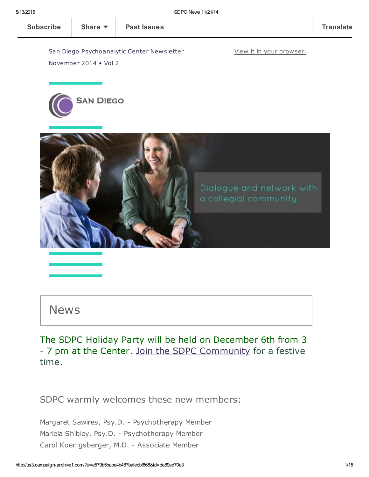View it in your [browser.](http://us3.campaign-archive2.com/?u=e579b5babe4b487bafecbf868&id=da89ed70e3&e=[UNIQID])

San Diego Psychoanalytic Center Newsletter November 2014 • Vol 2





### News

The SDPC Holiday Party will be held on December 6th from 3 - 7 pm at the Center. Join the SDPC [Community](http://www.sdpsychoanalyticcenter.org/join-sdpc) for a festive time.

SDPC warmly welcomes these new members:

Margaret Sawires, Psy.D. - Psychotherapy Member Mariela Shibley, Psy.D. - Psychotherapy Member Carol Koenigsberger, M.D. - Associate Member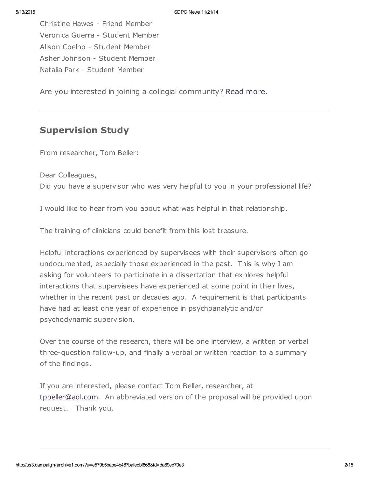Christine Hawes - Friend Member Veronica Guerra - Student Member Alison Coelho - Student Member Asher Johnson - Student Member Natalia Park - Student Member

Are you interested in joining a collegial community? Read [more.](http://www.sdpsychoanalyticcenter.org/join-sdpc)

### Supervision Study

From researcher, Tom Beller:

Dear Colleagues, Did you have a supervisor who was very helpful to you in your professional life?

I would like to hear from you about what was helpful in that relationship.

The training of clinicians could benefit from this lost treasure.

Helpful interactions experienced by supervisees with their supervisors often go undocumented, especially those experienced in the past. This is why I am asking for volunteers to participate in a dissertation that explores helpful interactions that supervisees have experienced at some point in their lives, whether in the recent past or decades ago. A requirement is that participants have had at least one year of experience in psychoanalytic and/or psychodynamic supervision.

Over the course of the research, there will be one interview, a written or verbal three-question follow-up, and finally a verbal or written reaction to a summary of the findings.

If you are interested, please contact Tom Beller, researcher, at [tpbeller@aol.com.](mailto:tpbeller@aol.com?subject=Supervision%20study) An abbreviated version of the proposal will be provided upon request. Thank you.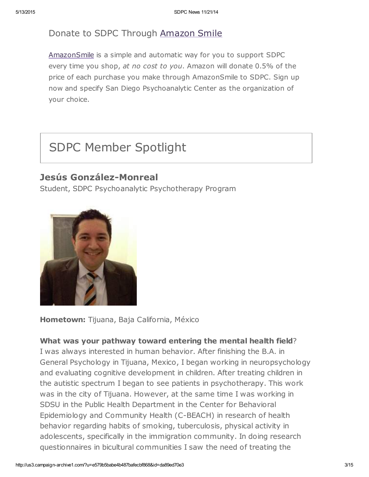### Donate to SDPC Through [Amazon](http://www.sdpsychoanalyticcenter.org/node/395#overlay-context=node/395) Smile

[AmazonSmile](http://smile.amazon.com/about) is a simple and automatic way for you to support SDPC every time you shop, at no cost to you. Amazon will donate 0.5% of the price of each purchase you make through AmazonSmile to SDPC. Sign up now and specify San Diego Psychoanalytic Center as the organization of your choice.

# SDPC Member Spotlight

### Jesús González-Monreal

Student, SDPC Psychoanalytic Psychotherapy Program



Hometown: Tijuana, Baja California, México

#### What was your pathway toward entering the mental health field?

I was always interested in human behavior. After finishing the B.A. in General Psychology in Tijuana, Mexico, I began working in neuropsychology and evaluating cognitive development in children. After treating children in the autistic spectrum I began to see patients in psychotherapy. This work was in the city of Tijuana. However, at the same time I was working in SDSU in the Public Health Department in the Center for Behavioral Epidemiology and Community Health (C-BEACH) in research of health behavior regarding habits of smoking, tuberculosis, physical activity in adolescents, specifically in the immigration community. In doing research questionnaires in bicultural communities I saw the need of treating the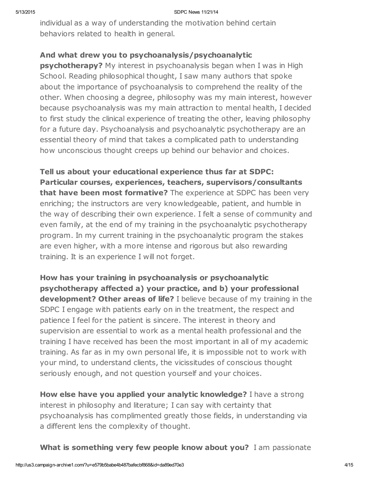individual as a way of understanding the motivation behind certain behaviors related to health in general.

#### And what drew you to psychoanalysis/psychoanalytic

**psychotherapy?** My interest in psychoanalysis began when I was in High School. Reading philosophical thought, I saw many authors that spoke about the importance of psychoanalysis to comprehend the reality of the other. When choosing a degree, philosophy was my main interest, however because psychoanalysis was my main attraction to mental health, I decided to first study the clinical experience of treating the other, leaving philosophy for a future day. Psychoanalysis and psychoanalytic psychotherapy are an essential theory of mind that takes a complicated path to understanding how unconscious thought creeps up behind our behavior and choices.

Tell us about your educational experience thus far at SDPC: Particular courses, experiences, teachers, supervisors/consultants that have been most formative? The experience at SDPC has been very enriching; the instructors are very knowledgeable, patient, and humble in the way of describing their own experience. I felt a sense of community and even family, at the end of my training in the psychoanalytic psychotherapy program. In my current training in the psychoanalytic program the stakes are even higher, with a more intense and rigorous but also rewarding training. It is an experience I will not forget.

How has your training in psychoanalysis or psychoanalytic psychotherapy affected a) your practice, and b) your professional development? Other areas of life? I believe because of my training in the SDPC I engage with patients early on in the treatment, the respect and patience I feel for the patient is sincere. The interest in theory and supervision are essential to work as a mental health professional and the training I have received has been the most important in all of my academic training. As far as in my own personal life, it is impossible not to work with your mind, to understand clients, the vicissitudes of conscious thought seriously enough, and not question yourself and your choices.

How else have you applied your analytic knowledge? I have a strong interest in philosophy and literature; I can say with certainty that psychoanalysis has complimented greatly those fields, in understanding via a different lens the complexity of thought.

What is something very few people know about you? I am passionate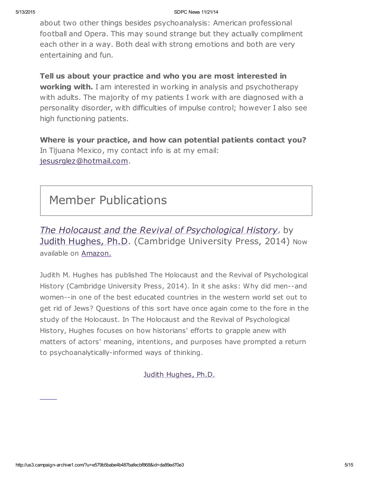about two other things besides psychoanalysis: American professional football and Opera. This may sound strange but they actually compliment each other in a way. Both deal with strong emotions and both are very entertaining and fun.

### Tell us about your practice and who you are most interested in

working with. I am interested in working in analysis and psychotherapy with adults. The majority of my patients I work with are diagnosed with a personality disorder, with difficulties of impulse control; however I also see high functioning patients.

Where is your practice, and how can potential patients contact you? In Tijuana Mexico, my contact info is at my email: [jesusrglez@hotmail.com.](mailto:jesusrglez@hotmail.com)

# Member Publications

The Holocaust and the Revival of Psychological History, by Judith [Hughes,](http://www.sdpsychoanalyticcenter.org/members/profiles/11#profile-main) Ph.D. (Cambridge University Press, 2014) Now available on [Amazon.](http://www.amazon.com/Holocaust-Revival-Psychological-History/dp/1107690447/ref=sr_1_1?s=books&ie=UTF8&qid=1416015276&sr=1-1&keywords=the+holocaust+and+the+revival+of+psychological+history)

Judith M. Hughes has published The Holocaust and the Revival of Psychological History (Cambridge University Press, 2014). In it she asks: Why did men--and women--in one of the best educated countries in the western world set out to get rid of Jews? Questions of this sort have once again come to the fore in the study of the Holocaust. In The Holocaust and the Revival of Psychological History, Hughes focuses on how historians' efforts to grapple anew with matters of actors' meaning, intentions, and purposes have prompted a return to psychoanalytically-informed ways of thinking.

Judith [Hughes,](http://www.sdpsychoanalyticcenter.org/members/profiles/11#profile-main) Ph.D.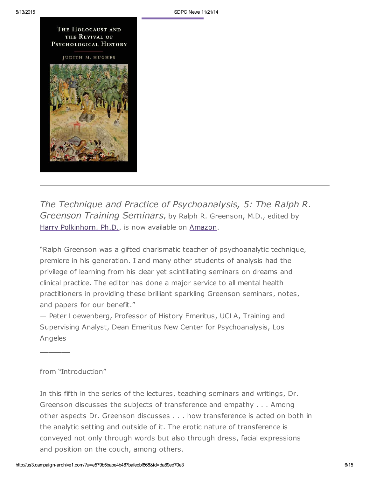#### THE HOLOCAUST AND THE REVIVAL OF PSYCHOLOGICAL HISTORY

**JUDITH M. HUGHES** 



The Technique and Practice of Psychoanalysis, 5: The Ralph R. Greenson Training Seminars, by Ralph R. Greenson, M.D., edited by Harry [Polkinhorn,](http://www.sdpsychoanalyticcenter.org/members/profiles/65#profile-main) Ph.D., is now available on [Amazon.](http://www.amazon.com/Technique-Practice-Psychoanalysis-Greenson-Miscellaneous/dp/1938537068/ref=sr_1_1?s=books&ie=UTF8&qid=1414379704&sr=1-1&keywords=The+Technique+and+Practice+of+Psychoanalysis%2C+5%3A+The+Ralph+R.+Greenson+Training+Seminars%2C+by+Ralph+R.+Greenson%2C)

"Ralph Greenson was a gifted charismatic teacher of psychoanalytic technique, premiere in his generation. I and many other students of analysis had the privilege of learning from his clear yet scintillating seminars on dreams and clinical practice. The editor has done a major service to all mental health practitioners in providing these brilliant sparkling Greenson seminars, notes, and papers for our benefit."

— Peter Loewenberg, Professor of History Emeritus, UCLA, Training and Supervising Analyst, Dean Emeritus New Center for Psychoanalysis, Los Angeles

#### from "Introduction"

 $\frac{1}{2}$ 

In this fifth in the series of the lectures, teaching seminars and writings, Dr. Greenson discusses the subjects of transference and empathy . . . Among other aspects Dr. Greenson discusses . . . how transference is acted on both in the analytic setting and outside of it. The erotic nature of transference is conveyed not only through words but also through dress, facial expressions and position on the couch, among others.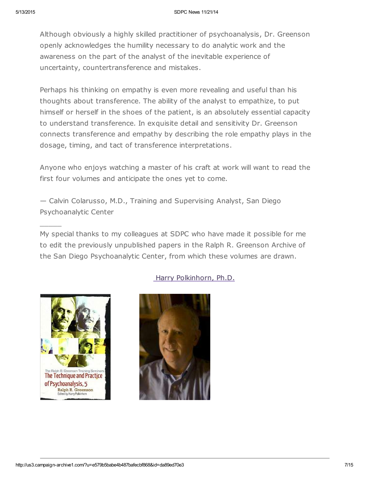Although obviously a highly skilled practitioner of psychoanalysis, Dr. Greenson openly acknowledges the humility necessary to do analytic work and the awareness on the part of the analyst of the inevitable experience of uncertainty, countertransference and mistakes.

Perhaps his thinking on empathy is even more revealing and useful than his thoughts about transference. The ability of the analyst to empathize, to put himself or herself in the shoes of the patient, is an absolutely essential capacity to understand transference. In exquisite detail and sensitivity Dr. Greenson connects transference and empathy by describing the role empathy plays in the dosage, timing, and tact of transference interpretations.

Anyone who enjoys watching a master of his craft at work will want to read the first four volumes and anticipate the ones yet to come.

— Calvin Colarusso, M.D., Training and Supervising Analyst, San Diego Psychoanalytic Center

My special thanks to my colleagues at SDPC who have made it possible for me to edit the previously unpublished papers in the Ralph R. Greenson Archive of the San Diego Psychoanalytic Center, from which these volumes are drawn.



 $\overline{\phantom{a}}$ 

#### Harry [Polkinhorn,](http://www.sdpsychoanalyticcenter.org/members/profiles/65#profile-main) Ph.D.

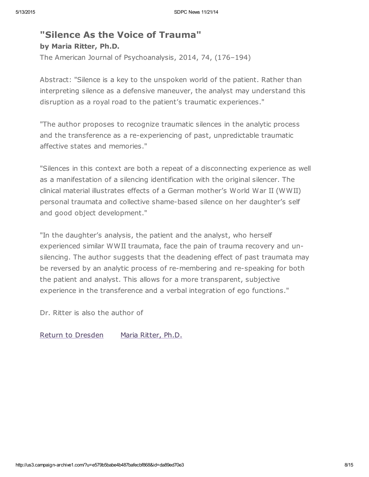### "Silence As the Voice of Trauma" by Maria Ritter, Ph.D.

The American Journal of Psychoanalysis, 2014, 74, (176–194)

Abstract: "Silence is a key to the unspoken world of the patient. Rather than interpreting silence as a defensive maneuver, the analyst may understand this disruption as a royal road to the patient's traumatic experiences."

"The author proposes to recognize traumatic silences in the analytic process and the transference as a re-experiencing of past, unpredictable traumatic affective states and memories."

"Silences in this context are both a repeat of a disconnecting experience as well as a manifestation of a silencing identification with the original silencer. The clinical material illustrates effects of a German mother's World War II (WWII) personal traumata and collective shame-based silence on her daughter's self and good object development."

"In the daughter's analysis, the patient and the analyst, who herself experienced similar WWII traumata, face the pain of trauma recovery and unsilencing. The author suggests that the deadening effect of past traumata may be reversed by an analytic process of re-membering and re-speaking for both the patient and analyst. This allows for a more transparent, subjective experience in the transference and a verbal integration of ego functions."

Dr. Ritter is also the author of

Return to [Dresden](http://www.amazon.com/Return-Dresden-Maria-Ritter/dp/1578065968) Maria [Ritter,](http://www.sdpsychoanalyticcenter.org/members/profiles/3#profile-main) Ph.D.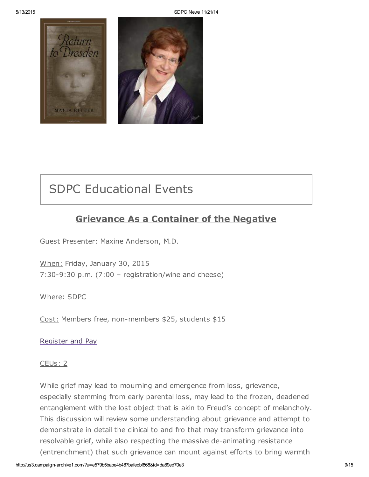

# SDPC Educational Events

### Grievance As a Container of the Negative

Guest Presenter: Maxine Anderson, M.D.

When: Friday, January 30, 2015 7:30-9:30 p.m. (7:00 – registration/wine and cheese)

Where: SDPC

Cost: Members free, non-members \$25, students \$15

[Register](http://www.sdpsychoanalyticcenter.org/register-and-pay-online) and Pay

#### CEUs: 2

While grief may lead to mourning and emergence from loss, grievance, especially stemming from early parental loss, may lead to the frozen, deadened entanglement with the lost object that is akin to Freud's concept of melancholy. This discussion will review some understanding about grievance and attempt to demonstrate in detail the clinical to and fro that may transform grievance into resolvable grief, while also respecting the massive de-animating resistance (entrenchment) that such grievance can mount against efforts to bring warmth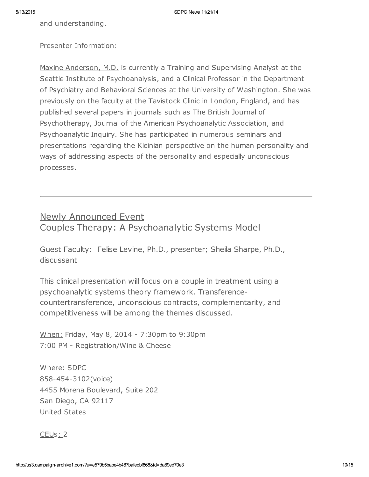and understanding.

#### Presenter Information:

Maxine Anderson, M.D. is currently a Training and Supervising Analyst at the Seattle Institute of Psychoanalysis, and a Clinical Professor in the Department of Psychiatry and Behavioral Sciences at the University of Washington. She was previously on the faculty at the Tavistock Clinic in London, England, and has published several papers in journals such as The British Journal of Psychotherapy, Journal of the American Psychoanalytic Association, and Psychoanalytic Inquiry. She has participated in numerous seminars and presentations regarding the Kleinian perspective on the human personality and ways of addressing aspects of the personality and especially unconscious processes.

# Newly Announced Event

Couples Therapy: A Psychoanalytic Systems Model

Guest Faculty: Felise Levine, Ph.D., presenter; Sheila Sharpe, Ph.D., discussant

This clinical presentation will focus on a couple in treatment using a psychoanalytic systems theory framework. Transferencecountertransference, unconscious contracts, complementarity, and competitiveness will be among the themes discussed.

When: Friday, May 8, 2014 - 7:30pm to 9:30pm 7:00 PM - Registration/Wine & Cheese

Where: SDPC 858-454-3102(voice) 4455 Morena Boulevard, Suite 202 San Diego, CA 92117 United States

#### CEUs: 2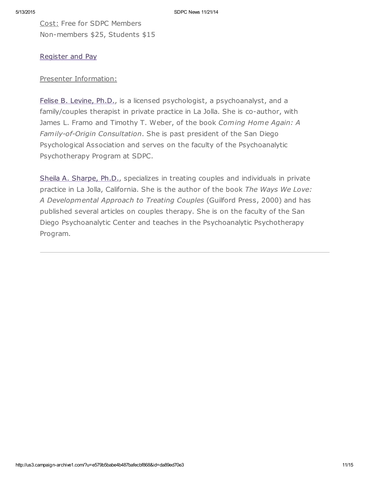Cost: Free for SDPC Members Non-members \$25, Students \$15

#### [Register](http://www.sdpsychoanalyticcenter.org/register-and-pay-online) and Pay

#### Presenter Information:

Felise B. [Levine,](http://www.sdpsychoanalyticcenter.org/members/profiles/82#profile-main) Ph.D., is a licensed psychologist, a psychoanalyst, and a family/couples therapist in private practice in La Jolla. She is co-author, with James L. Framo and Timothy T. Weber, of the book Coming Home Again: A Family-of-Origin Consultation. She is past president of the San Diego Psychological Association and serves on the faculty of the Psychoanalytic Psychotherapy Program at SDPC.

Sheila A. [Sharpe,](http://www.sdpsychoanalyticcenter.org/members/profiles/103#profile-main) Ph.D., specializes in treating couples and individuals in private practice in La Jolla, California. She is the author of the book The Ways We Love: A Developmental Approach to Treating Couples (Guilford Press, 2000) and has published several articles on couples therapy. She is on the faculty of the San Diego Psychoanalytic Center and teaches in the Psychoanalytic Psychotherapy Program.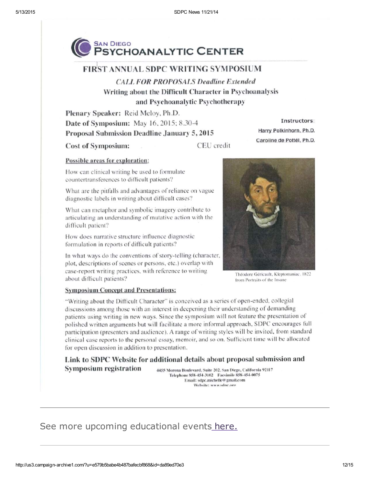

#### **FIRST ANNUAL SDPC WRITING SYMPOSIUM**

**CALL FOR PROPOSALS Deadline Extended** Writing about the Difficult Character in Psychoanalysis and Psychoanalytic Psychotherapy

Plenary Speaker: Reid Meloy, Ph.D. Date of Symposium: May 16, 2015; 8.30-4 Proposal Submission Deadline January 5, 2015

**Cost of Symposium:** 

CEU credit

#### Possible areas for exploration:

How can clinical writing be used to formulate countertransferences to difficult patients?

What are the pitfalls and advantages of reliance on vague diagnostic labels in writing about difficult cases?

What can metaphor and symbolic imagery contribute to articulating an understanding of mutative action with the difficult patient?

How does narrative structure influence diagnostic formulation in reports of difficult patients?

In what ways do the conventions of story-telling (character, plot, descriptions of scenes or persons, etc.) overlap with case-report writing practices, with reference to writing about difficult patients?

Instructors:

Harry Polkinhorn, Ph.D.

Caroline de Pottél, Ph.D.

Théodore Géricault, Kleptomaniac, 1822 from Portraits of the Insane

#### **Symposium Concept and Presentations:**

"Writing about the Difficult Character" is conceived as a series of open-ended, collegial discussions among those with an interest in deepening their understanding of demanding patients using writing in new ways. Since the symposium will not feature the presentation of polished written arguments but will facilitate a more informal approach, SDPC encourages full participation (presenters and audience). A range of writing styles will be invited, from standard clinical case reports to the personal essay, memoir, and so on. Sufficient time will be allocated for open discussion in addition to presentation.

Link to SDPC Website for additional details about proposal submission and **Symposium registration** 4455 Morena Boulevard, Suite 202, San Diego, California 92117

Telephone 858-454-3102 Facsimile 858-454-0075 Email: sdpc.michelle@gmail.com Website: www.sdnc.oro

### See more upcoming educational events [here.](http://www.sdpsychoanalyticcenter.org/community-connections/upcoming-events)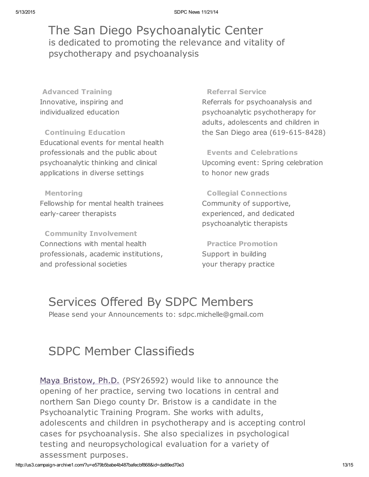## The San Diego Psychoanalytic Center is dedicated to promoting the relevance and vitality of psychotherapy and psychoanalysis

Advanced Training Innovative, inspiring and individualized education

Continuing Education Educational events for mental health professionals and the public about psychoanalytic thinking and clinical applications in diverse settings

# Mentoring

Fellowship for mental health trainees early-career therapists

Community Involvement Connections with mental health professionals, academic institutions, and professional societies

#### Referral Service

Referrals for psychoanalysis and psychoanalytic psychotherapy for adults, adolescents and children in the San Diego area (619-615-8428)

Events and Celebrations Upcoming event: Spring celebration to honor new grads

Collegial Connections Community of supportive, experienced, and dedicated psychoanalytic therapists

Practice Promotion Support in building your therapy practice

# Services Offered By SDPC Members

Please send your Announcements to: sdpc.michelle@gmail.com

# SDPC Member Classifieds

Maya [Bristow,](http://www.sdpsychoanalyticcenter.org/members/profiles/121#profile-main) Ph.D. (PSY26592) would like to announce the opening of her practice, serving two locations in central and northern San Diego county Dr. Bristow is a candidate in the Psychoanalytic Training Program. She works with adults, adolescents and children in psychotherapy and is accepting control cases for psychoanalysis. She also specializes in psychological testing and neuropsychological evaluation for a variety of assessment purposes.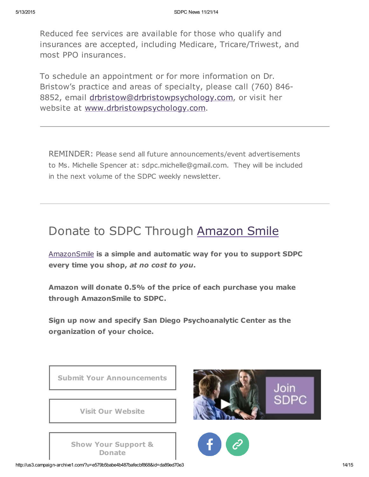Reduced fee services are available for those who qualify and insurances are accepted, including Medicare, Tricare/Triwest, and most PPO insurances.

To schedule an appointment or for more information on Dr. Bristow's practice and areas of specialty, please call (760) 846- 8852, email [drbristow@drbristowpsychology.com,](mailto:drbristow@drbristowpsychology.com) or visit her website at [www.drbristowpsychology.com.](http://www.drbristowpsychology.com/)

REMINDER: Please send all future announcements/event advertisements to Ms. Michelle Spencer at: sdpc.michelle@gmail.com. They will be included in the next volume of the SDPC weekly newsletter.

# Donate to SDPC Through [Amazon](http://www.sdpsychoanalyticcenter.org/node/395#overlay-context=node/395) Smile

[AmazonSmile](http://smile.amazon.com/about) is a simple and automatic way for you to support SDPC every time you shop, at no cost to you.

Amazon will donate 0.5% of the price of each purchase you make through AmazonSmile to SDPC.

Sign up now and specify San Diego Psychoanalytic Center as the organization of your choice.